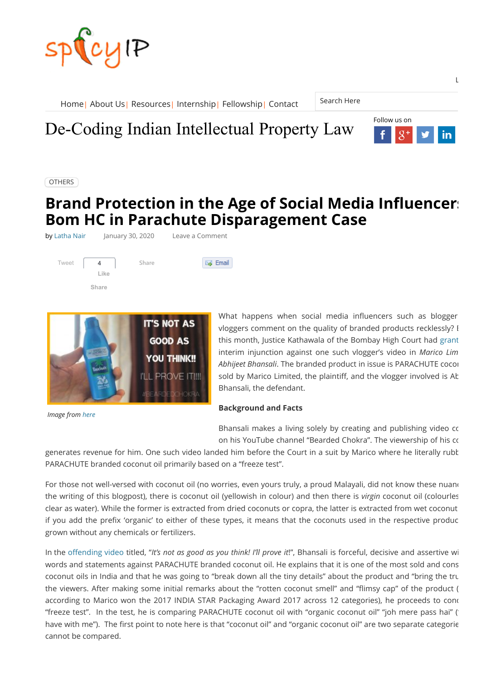



**[OTHERS](https://spicyip.com/category/others)** 

# **Brand Protection in the Age of Social Media Influencers Bom HC in Parachute Disparagement Case**

by [Latha Nair](https://spicyip.com/author/latha-nair) lanuary 30, 2020 Leave a Comment





*Image from [here](https://www.youtube.com/watch?v=CVeFO161CUo)*

What happens when social media influencers such as blogger vloggers comment on the quality of branded products recklessly? E this month, Justice Kathawala of the Bombay High Court had [grant](https://indiankanoon.org/doc/79649288/) interim injunction against one such vlogger's video in *Marico Lim Abhijeet Bhansali*. The branded product in issue is PARACHUTE cocon sold by Marico Limited, the plaintiff, and the vlogger involved is At Bhansali, the defendant.

#### **Background and Facts**

Bhansali makes a living solely by creating and publishing video co on his YouTube channel "Bearded Chokra". The viewership of his co

generates revenue for him. One such video landed him before the Court in a suit by Marico where he literally rubb PARACHUTE branded coconut oil primarily based on a "freeze test".

For those not well-versed with coconut oil (no worries, even yours truly, a proud Malayali, did not know these nuand the writing of this blogpost), there is coconut oil (yellowish in colour) and then there is *virgin* coconut oil (colourles clear as water). While the former is extracted from dried coconuts or copra, the latter is extracted from wet coconut if you add the prefix 'organic' to either of these types, it means that the coconuts used in the respective produc grown without any chemicals or fertilizers.

In the offending video titled, "It's not as good as you think! I'll prove it!", Bhansali is forceful, decisive and assertive wi words and statements against PARACHUTE branded coconut oil. He explains that it is one of the most sold and cons coconut oils in India and that he was going to "break down all the tiny details" about the product and "bring the tru the viewers. After making some initial remarks about the "rotten coconut smell" and "flimsy cap" of the product ( according to Marico won the 2017 INDIA STAR Packaging Award 2017 across 12 categories), he proceeds to cond "freeze test". In the test, he is comparing PARACHUTE coconut oil with "organic coconut oil" "joh mere pass hai" (" have with me"). The first point to note here is that "coconut oil" and "organic coconut oil" are two separate categorie cannot be compared.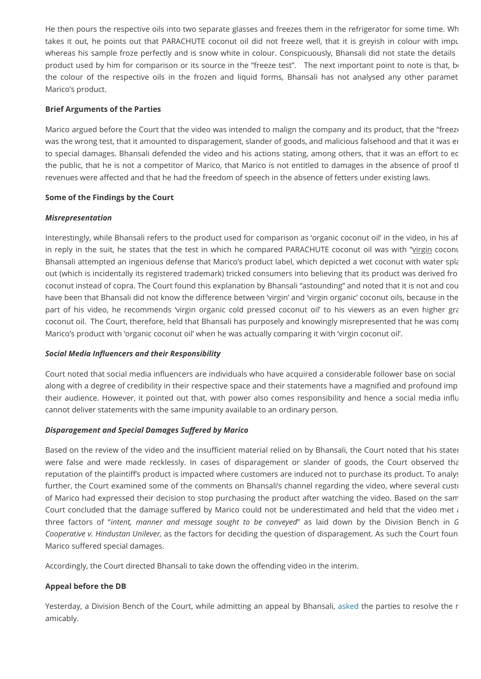He then pours the respective oils into two separate glasses and freezes them in the refrigerator for some time. Wh takes it out, he points out that PARACHUTE coconut oil did not freeze well, that it is greyish in colour with impu whereas his sample froze perfectly and is snow white in colour. Conspicuously, Bhansali did not state the details product used by him for comparison or its source in the "freeze test". The next important point to note is that, be the colour of the respective oils in the frozen and liquid forms, Bhansali has not analysed any other paramet Marico's product.

#### **Brief Arguments of the Parties**

Marico argued before the Court that the video was intended to malign the company and its product, that the "freezo was the wrong test, that it amounted to disparagement, slander of goods, and malicious falsehood and that it was en to special damages. Bhansali defended the video and his actions stating, among others, that it was an effort to ec the public, that he is not a competitor of Marico, that Marico is not entitled to damages in the absence of proof th revenues were affected and that he had the freedom of speech in the absence of fetters under existing laws.

#### **Some of the Findings by the Court**

#### *Misrepresentation*

Interestingly, while Bhansali refers to the product used for comparison as 'organic coconut oil' in the video, in his a in reply in the suit, he states that the test in which he compared PARACHUTE coconut oil was with "virgin coconu Bhansali attempted an ingenious defense that Marico's product label, which depicted a wet coconut with water spla out (which is incidentally its registered trademark) tricked consumers into believing that its product was derived fro coconut instead of copra. The Court found this explanation by Bhansali "astounding" and noted that it is not and cou have been that Bhansali did not know the difference between 'virgin' and 'virgin organic' coconut oils, because in the part of his video, he recommends 'virgin organic cold pressed coconut oil' to his viewers as an even higher gra coconut oil. The Court, therefore, held that Bhansali has purposely and knowingly misrepresented that he was comp Marico's product with 'organic coconut oil' when he was actually comparing it with 'virgin coconut oil'.

#### **Social Media Influencers and their Responsibility**

Court noted that social media influencers are individuals who have acquired a considerable follower base on social along with a degree of credibility in their respective space and their statements have a magnified and profound imp their audience. However, it pointed out that, with power also comes responsibility and hence a social media influ cannot deliver statements with the same impunity available to an ordinary person.

#### **Disparagement and Special Damages Suffered by Marico**

Based on the review of the video and the insufficient material relied on by Bhansali, the Court noted that his statem were false and were made recklessly. In cases of disparagement or slander of goods, the Court observed tha reputation of the plaintiff's product is impacted where customers are induced not to purchase its product. To analys further, the Court examined some of the comments on Bhansali's channel regarding the video, where several custo of Marico had expressed their decision to stop purchasing the product after watching the video. Based on the sam Court concluded that the damage suffered by Marico could not be underestimated and held that the video met  $\lambda$ three factors of "*intent, manner and message sought to be conveyed*" as laid down by the Division Bench in *G Cooperative v. Hindustan Unilever,* as the factors for deciding the question of disparagement. As such the Court foun Marico suffered special damages.

Accordingly, the Court directed Bhansali to take down the offending video in the interim.

### **Appeal before the DB**

Yesterday, a Division Bench of the Court, while admitting an appeal by Bhansali, [asked](https://www.livelaw.in/news-updates/freedom-of-speech-on-a-higher-pedestal-than-reputation-bombay-hc-asks-vlogger-and-marico-to-sit-across-the-table-152106?infinitescroll=1) the parties to resolve the r amicably.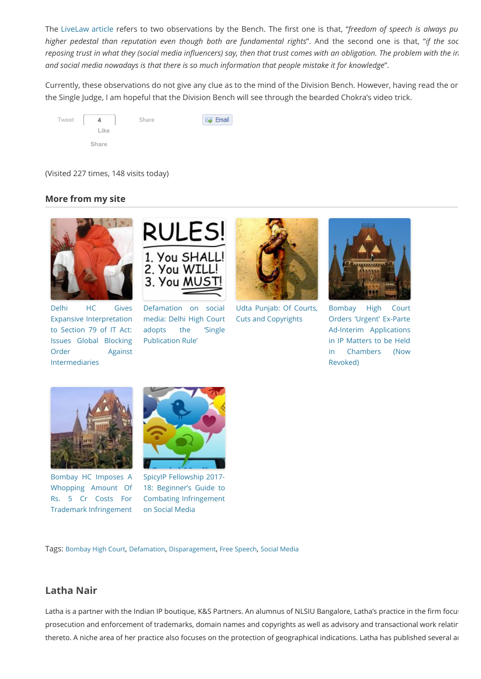The [LiveLaw article](https://www.livelaw.in/news-updates/freedom-of-speech-on-a-higher-pedestal-than-reputation-bombay-hc-asks-vlogger-and-marico-to-sit-across-the-table-152106?infinitescroll=1) refers to two observations by the Bench. The first one is that, "freedom of speech is always pu *higher pedestal than reputation even though both are fundamental rights*". And the second one is that, "*if the soc reposing trust in what they (social media influencers) say, then that trust comes with an obligation. The problem with the in and social media nowadays is that there is so much information that people mistake it for knowledge*".

Currently, these observations do not give any clue as to the mind of the Division Bench. However, having read the or the Single Judge, I am hopeful that the Division Bench will see through the bearded Chokra's video trick.



(Visited 227 times, 148 visits today)

## **More from my site**



Delhi HC Gives Expansive Interpretation to Section 79 of IT Act: Issues Global Blocking [Order Against](https://spicyip.com/2019/11/delhi-hc-gives-expansive-interpretation-to-section-79-of-it-act-issues-global-blocking-order.html) Intermediaries



Defamation on social [media: Delhi High Court](https://spicyip.com/2014/07/defamation-on-social-media-delhi-high-court-adopts-the-single-publication-rule.html) adopts the 'Single Publication Rule'



[Udta Punjab: Of Courts,](https://spicyip.com/2016/06/udta-punjab-linking-courts-cuts-copyrights-and-conflicted-counsels.html) Cuts and Copyrights



[Bombay High Court](https://spicyip.com/2019/11/bombay-high-court-orders-urgent-ex-parte-ad-interim-applications-in-ip-matters-to-be-held-in-chambers-now-revoked.html) Orders 'Urgent' Ex-Parte Ad-Interim Applications in IP Matters to be Held in Chambers (Now Revoked)



[Bombay HC Imposes A](https://spicyip.com/2019/05/bombay-hc-imposes-a-whopping-amount-of-rs-5-cr-costs-for-trademark-infringement.html) Whopping Amount Of Rs. 5 Cr Costs For Trademark Infringement



SpicyIP Fellowship 2017- 18: Beginner's Guide to [Combating Infringement](https://spicyip.com/2017/04/spicyip-fellowship-2017-18-beginners-guide-to-combating-infringement-on-social-media.html) on Social Media

Tags: [Bombay High Court](https://spicyip.com/tag/bombay-high-court), [Defamation](https://spicyip.com/tag/defamation), [Disparagement](https://spicyip.com/tag/disparagement), [Free Speech](https://spicyip.com/tag/free-speech), [Social Media](https://spicyip.com/tag/social-media)

# **Latha Nair**

Latha is a partner with the Indian IP boutique, K&S Partners. An alumnus of NLSIU Bangalore, Latha's practice in the firm focus prosecution and enforcement of trademarks, domain names and copyrights as well as advisory and transactional work relatin thereto. A niche area of her practice also focuses on the protection of geographical indications. Latha has published several ar